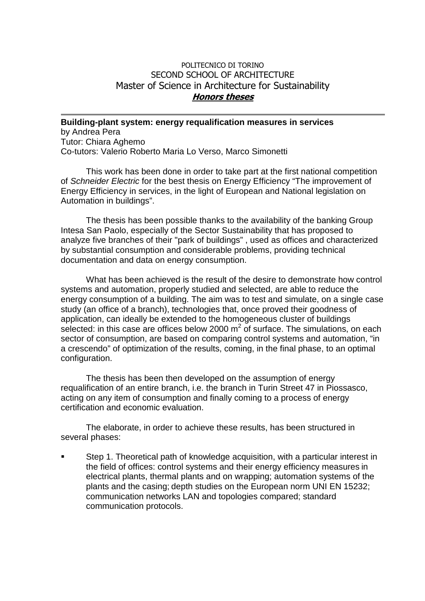## POLITECNICO DI TORINO SECOND SCHOOL OF ARCHITECTURE Master of Science in Architecture for Sustainability **Honors theses**

**Building-plant system: energy requalification measures in services**  by Andrea Pera Tutor: Chiara Aghemo Co-tutors: Valerio Roberto Maria Lo Verso, Marco Simonetti

This work has been done in order to take part at the first national competition of Schneider Electric for the best thesis on Energy Efficiency "The improvement of Energy Efficiency in services, in the light of European and National legislation on Automation in buildings".

The thesis has been possible thanks to the availability of the banking Group Intesa San Paolo, especially of the Sector Sustainability that has proposed to analyze five branches of their "park of buildings" , used as offices and characterized by substantial consumption and considerable problems, providing technical documentation and data on energy consumption.

What has been achieved is the result of the desire to demonstrate how control systems and automation, properly studied and selected, are able to reduce the energy consumption of a building. The aim was to test and simulate, on a single case study (an office of a branch), technologies that, once proved their goodness of application, can ideally be extended to the homogeneous cluster of buildings selected: in this case are offices below 2000  $m^2$  of surface. The simulations, on each sector of consumption, are based on comparing control systems and automation, "in a crescendo" of optimization of the results, coming, in the final phase, to an optimal configuration.

The thesis has been then developed on the assumption of energy requalification of an entire branch, i.e. the branch in Turin Street 47 in Piossasco, acting on any item of consumption and finally coming to a process of energy certification and economic evaluation.

The elaborate, in order to achieve these results, has been structured in several phases:

 Step 1. Theoretical path of knowledge acquisition, with a particular interest in the field of offices: control systems and their energy efficiency measures in electrical plants, thermal plants and on wrapping; automation systems of the plants and the casing; depth studies on the European norm UNI EN 15232; communication networks LAN and topologies compared; standard communication protocols.